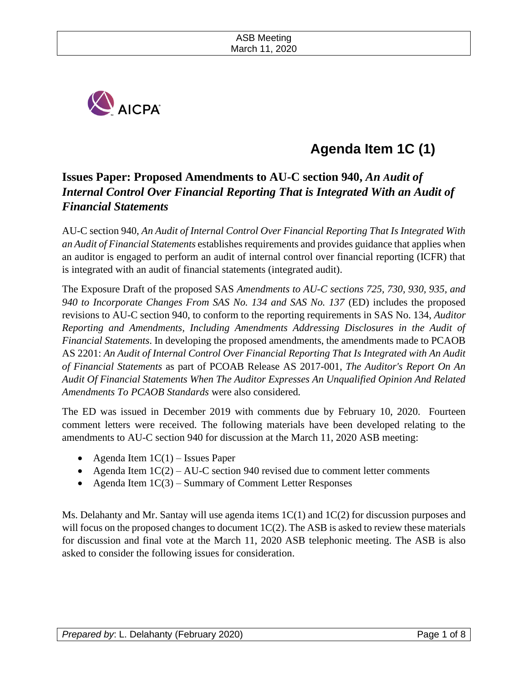

# **Agenda Item 1C (1)**

# **Issues Paper: Proposed Amendments to AU-C section 940,** *An Audit of Internal Control Over Financial Reporting That is Integrated With an Audit of Financial Statements*

AU-C section 940, *An Audit of Internal Control Over Financial Reporting That Is Integrated With an Audit of Financial Statements* establishes requirements and provides guidance that applies when an auditor is engaged to perform an audit of internal control over financial reporting (ICFR) that is integrated with an audit of financial statements (integrated audit).

The Exposure Draft of the proposed SAS *Amendments to AU-C sections 725, 730, 930, 935, and 940 to Incorporate Changes From SAS No. 134 and SAS No. 137* (ED) includes the proposed revisions to AU-C section 940, to conform to the reporting requirements in SAS No. 134, *Auditor Reporting and Amendments, Including Amendments Addressing Disclosures in the Audit of Financial Statements*. In developing the proposed amendments, the amendments made to PCAOB AS 2201: *An Audit of Internal Control Over Financial Reporting That Is Integrated with An Audit of Financial Statements* as part of PCOAB Release AS 2017-001, *The Auditor's Report On An Audit Of Financial Statements When The Auditor Expresses An Unqualified Opinion And Related Amendments To PCAOB Standards* were also considered*.*

The ED was issued in December 2019 with comments due by February 10, 2020. Fourteen comment letters were received. The following materials have been developed relating to the amendments to AU-C section 940 for discussion at the March 11, 2020 ASB meeting:

- Agenda Item  $1C(1)$  Issues Paper
- Agenda Item  $1C(2) AU-C$  section 940 revised due to comment letter comments
- Agenda Item  $1C(3)$  Summary of Comment Letter Responses

Ms. Delahanty and Mr. Santay will use agenda items  $1C(1)$  and  $1C(2)$  for discussion purposes and will focus on the proposed changes to document  $1C(2)$ . The ASB is asked to review these materials for discussion and final vote at the March 11, 2020 ASB telephonic meeting. The ASB is also asked to consider the following issues for consideration.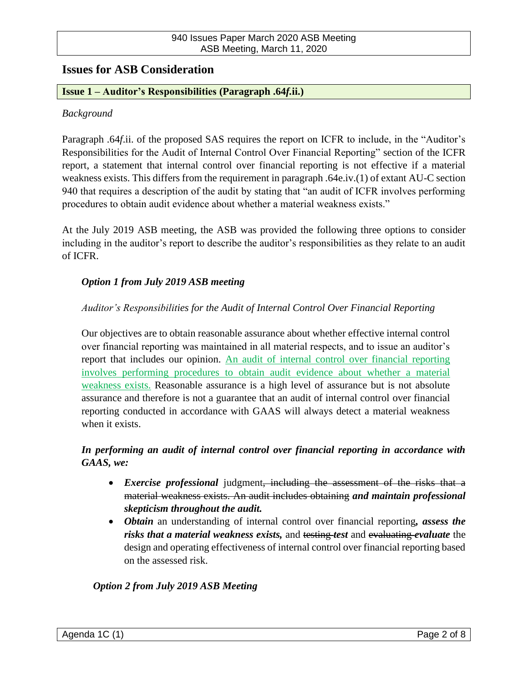# **Issues for ASB Consideration**

#### **Issue 1 – Auditor's Responsibilities (Paragraph .64***f.***ii.)**

#### *Background*

Paragraph .64*f*.ii. of the proposed SAS requires the report on ICFR to include, in the "Auditor's Responsibilities for the Audit of Internal Control Over Financial Reporting" section of the ICFR report, a statement that internal control over financial reporting is not effective if a material weakness exists. This differs from the requirement in paragraph .64e.iv.(1) of extant AU-C section 940 that requires a description of the audit by stating that "an audit of ICFR involves performing procedures to obtain audit evidence about whether a material weakness exists."

At the July 2019 ASB meeting, the ASB was provided the following three options to consider including in the auditor's report to describe the auditor's responsibilities as they relate to an audit of ICFR.

## *Option 1 from July 2019 ASB meeting*

#### *Auditor's Responsibilities for the Audit of Internal Control Over Financial Reporting*

Our objectives are to obtain reasonable assurance about whether effective internal control over financial reporting was maintained in all material respects, and to issue an auditor's report that includes our opinion. An audit of internal control over financial reporting involves performing procedures to obtain audit evidence about whether a material weakness exists. Reasonable assurance is a high level of assurance but is not absolute assurance and therefore is not a guarantee that an audit of internal control over financial reporting conducted in accordance with GAAS will always detect a material weakness when it exists.

# *In performing an audit of internal control over financial reporting in accordance with GAAS, we:*

- *Exercise professional* judgment, including the assessment of the risks that a material weakness exists. An audit includes obtaining *and maintain professional skepticism throughout the audit.*
- *Obtain* an understanding of internal control over financial reporting*, assess the risks that a material weakness exists,* and testing *test* and evaluating *evaluate* the design and operating effectiveness of internal control over financial reporting based on the assessed risk.

#### *Option 2 from July 2019 ASB Meeting*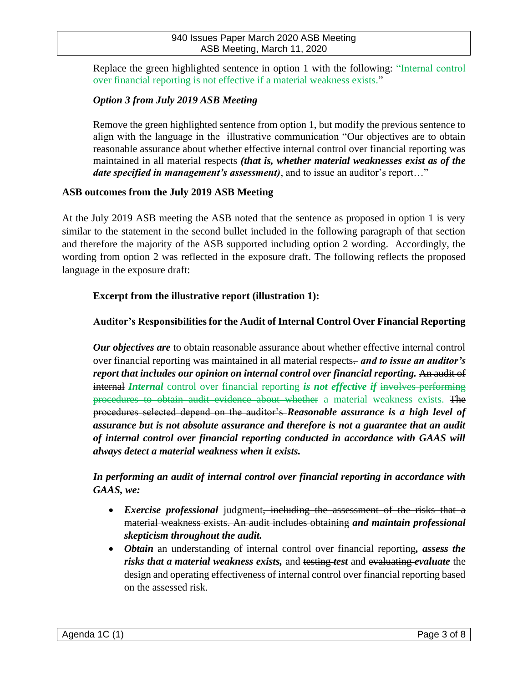Replace the green highlighted sentence in option 1 with the following: "Internal control over financial reporting is not effective if a material weakness exists."

# *Option 3 from July 2019 ASB Meeting*

Remove the green highlighted sentence from option 1, but modify the previous sentence to align with the language in the illustrative communication "Our objectives are to obtain reasonable assurance about whether effective internal control over financial reporting was maintained in all material respects *(that is, whether material weaknesses exist as of the date specified in management's assessment)*, and to issue an auditor's report…"

#### **ASB outcomes from the July 2019 ASB Meeting**

At the July 2019 ASB meeting the ASB noted that the sentence as proposed in option 1 is very similar to the statement in the second bullet included in the following paragraph of that section and therefore the majority of the ASB supported including option 2 wording. Accordingly, the wording from option 2 was reflected in the exposure draft. The following reflects the proposed language in the exposure draft:

#### **Excerpt from the illustrative report (illustration 1):**

## **Auditor's Responsibilities for the Audit of Internal Control Over Financial Reporting**

*Our objectives are* to obtain reasonable assurance about whether effective internal control over financial reporting was maintained in all material respects. *and to issue an auditor's report that includes our opinion on internal control over financial reporting.* An audit of internal *Internal* control over financial reporting *is not effective if* involves performing procedures to obtain audit evidence about whether a material weakness exists. The procedures selected depend on the auditor's *Reasonable assurance is a high level of assurance but is not absolute assurance and therefore is not a guarantee that an audit of internal control over financial reporting conducted in accordance with GAAS will always detect a material weakness when it exists.* 

*In performing an audit of internal control over financial reporting in accordance with GAAS, we:*

- *Exercise professional* judgment<del>, including the assessment of the risks that a</del> material weakness exists. An audit includes obtaining *and maintain professional skepticism throughout the audit.*
- *Obtain* an understanding of internal control over financial reporting*, assess the risks that a material weakness exists,* and testing *test* and evaluating *evaluate* the design and operating effectiveness of internal control over financial reporting based on the assessed risk.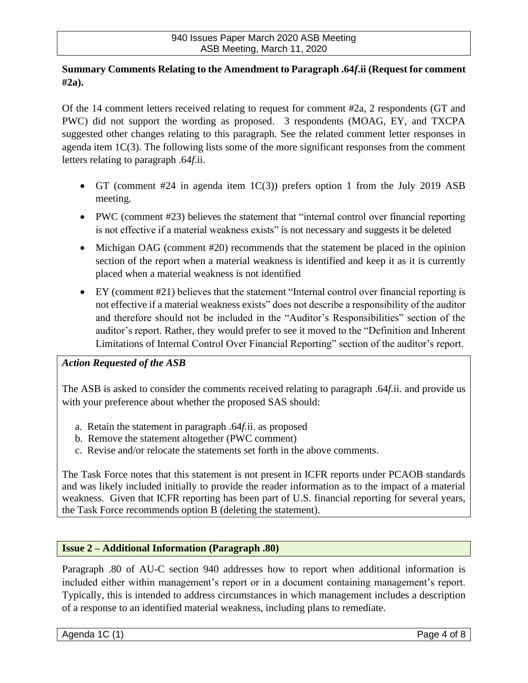# **Summary Comments Relating to the Amendment to Paragraph .64***f***.ii (Request for comment #2a).**

Of the 14 comment letters received relating to request for comment #2a, 2 respondents (GT and PWC) did not support the wording as proposed. 3 respondents (MOAG, EY, and TXCPA suggested other changes relating to this paragraph. See the related comment letter responses in agenda item 1C(3). The following lists some of the more significant responses from the comment letters relating to paragraph .64*f*.ii.

- GT (comment #24 in agenda item  $1C(3)$ ) prefers option 1 from the July 2019 ASB meeting.
- PWC (comment #23) believes the statement that "internal control over financial reporting is not effective if a material weakness exists" is not necessary and suggests it be deleted
- Michigan OAG (comment #20) recommends that the statement be placed in the opinion section of the report when a material weakness is identified and keep it as it is currently placed when a material weakness is not identified
- EY (comment #21) believes that the statement "Internal control over financial reporting is not effective if a material weakness exists" does not describe a responsibility of the auditor and therefore should not be included in the "Auditor's Responsibilities" section of the auditor's report. Rather, they would prefer to see it moved to the "Definition and Inherent Limitations of Internal Control Over Financial Reporting" section of the auditor's report.

# *Action Requested of the ASB*

The ASB is asked to consider the comments received relating to paragraph .64*f.*ii. and provide us with your preference about whether the proposed SAS should:

- a. Retain the statement in paragraph .64*f.*ii. as proposed
- b. Remove the statement altogether (PWC comment)
- c. Revise and/or relocate the statements set forth in the above comments.

The Task Force notes that this statement is not present in ICFR reports under PCAOB standards and was likely included initially to provide the reader information as to the impact of a material weakness. Given that ICFR reporting has been part of U.S. financial reporting for several years, the Task Force recommends option B (deleting the statement).

#### **Issue 2 – Additional Information (Paragraph .80)**

Paragraph .80 of AU-C section 940 addresses how to report when additional information is included either within management's report or in a document containing management's report. Typically, this is intended to address circumstances in which management includes a description of a response to an identified material weakness, including plans to remediate.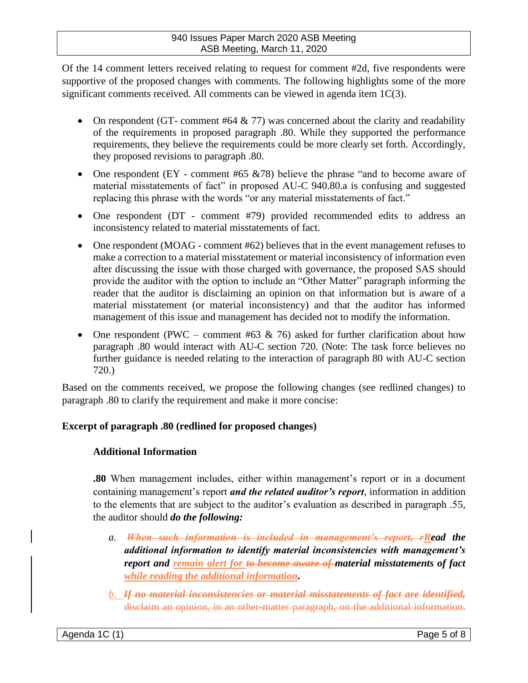#### 940 Issues Paper March 2020 ASB Meeting ASB Meeting, March 11, 2020

Of the 14 comment letters received relating to request for comment #2d, five respondents were supportive of the proposed changes with comments. The following highlights some of the more significant comments received. All comments can be viewed in agenda item  $1C(3)$ .

- On respondent (GT- comment #64  $\& 77$ ) was concerned about the clarity and readability of the requirements in proposed paragraph .80. While they supported the performance requirements, they believe the requirements could be more clearly set forth. Accordingly, they proposed revisions to paragraph .80.
- One respondent (EY comment #65  $&0$ 78) believe the phrase "and to become aware of material misstatements of fact" in proposed AU-C 940.80.a is confusing and suggested replacing this phrase with the words "or any material misstatements of fact."
- One respondent (DT comment #79) provided recommended edits to address an inconsistency related to material misstatements of fact.
- One respondent (MOAG comment #62) believes that in the event management refuses to make a correction to a material misstatement or material inconsistency of information even after discussing the issue with those charged with governance, the proposed SAS should provide the auditor with the option to include an "Other Matter" paragraph informing the reader that the auditor is disclaiming an opinion on that information but is aware of a material misstatement (or material inconsistency) and that the auditor has informed management of this issue and management has decided not to modify the information.
- One respondent (PWC comment #63  $\&$  76) asked for further clarification about how paragraph .80 would interact with AU-C section 720. (Note: The task force believes no further guidance is needed relating to the interaction of paragraph 80 with AU-C section 720.)

Based on the comments received, we propose the following changes (see redlined changes) to paragraph .80 to clarify the requirement and make it more concise:

# **Excerpt of paragraph .80 (redlined for proposed changes)**

# **Additional Information**

**.80** When management includes, either within management's report or in a document containing management's report *and the related auditor's report*, information in addition to the elements that are subject to the auditor's evaluation as described in paragraph .55, the auditor should *do the following:*

- *a. When such information is included in management's report, rRead the additional information to identify material inconsistencies with management's report and remain alert for to become aware of material misstatements of fact while reading the additional information.*
- *b. If no material inconsistencies or material misstatements of fact are identified,* disclaim an opinion, in an other-matter paragraph, on the additional information.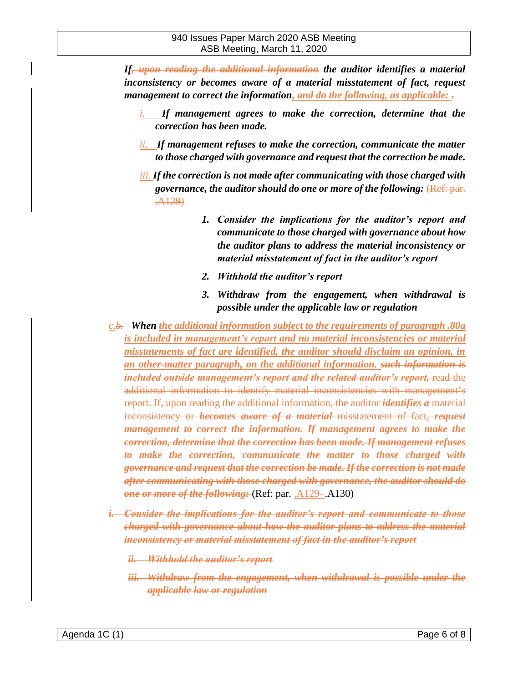*If, upon reading the additional information the auditor identifies a material inconsistency or becomes aware of a material misstatement of fact, request management to correct the information, and do the following, as applicable: .*

- *i. If management agrees to make the correction, determine that the correction has been made.*
- *ii. If management refuses to make the correction, communicate the matter to those charged with governance and request that the correction be made.*
- *iii. If the correction is not made after communicating with those charged with governance, the auditor should do one or more of the following:* (Ref: par. .A129)
	- *1. Consider the implications for the auditor's report and communicate to those charged with governance about how the auditor plans to address the material inconsistency or material misstatement of fact in the auditor's report*
	- *2. Withhold the auditor's report*
	- *3. Withdraw from the engagement, when withdrawal is possible under the applicable law or regulation*
- *c.b. When the additional information subject to the requirements of paragraph .80a is included in management's report and no material inconsistencies or material misstatements of fact are identified, the auditor should disclaim an opinion, in an other-matter paragraph, on the additional information. such information is included outside management's report and the related auditor's report,* read the additional information to identify material inconsistencies with management's report. If, upon reading the additional information, the auditor *identifies a* material inconsistency or *becomes aware of a material* misstatement of fact, *request management to correct the information. If management agrees to make the correction, determine that the correction has been made. If management refuses to make the correction, communicate the matter to those charged with governance and request that the correction be made. If the correction is not made after communicating with those charged with governance, the auditor should do one or more of the following:* (Ref: par. .A129–.A130)
- *i. Consider the implications for the auditor's report and communicate to those charged with governance about how the auditor plans to address the material inconsistency or material misstatement of fact in the auditor's report*
	- *ii. Withhold the auditor's report*
	- *iii. Withdraw from the engagement, when withdrawal is possible under the applicable law or regulation*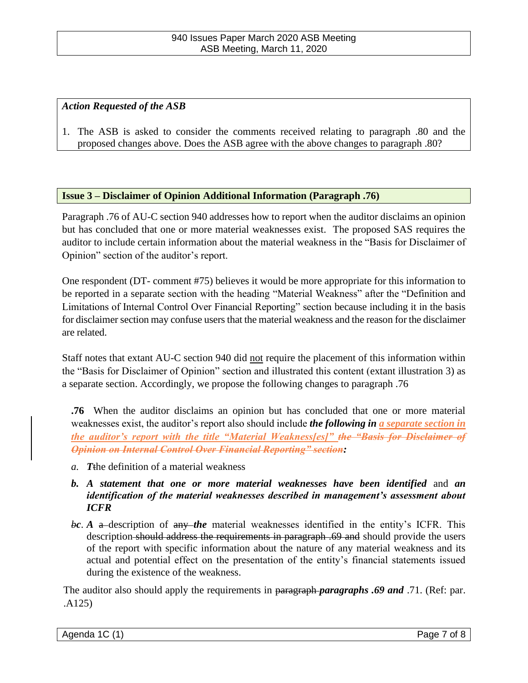#### *Action Requested of the ASB*

1. The ASB is asked to consider the comments received relating to paragraph .80 and the proposed changes above. Does the ASB agree with the above changes to paragraph .80?

#### **Issue 3 – Disclaimer of Opinion Additional Information (Paragraph .76)**

Paragraph .76 of AU-C section 940 addresses how to report when the auditor disclaims an opinion but has concluded that one or more material weaknesses exist. The proposed SAS requires the auditor to include certain information about the material weakness in the "Basis for Disclaimer of Opinion" section of the auditor's report.

One respondent (DT- comment #75) believes it would be more appropriate for this information to be reported in a separate section with the heading "Material Weakness" after the "Definition and Limitations of Internal Control Over Financial Reporting" section because including it in the basis for disclaimer section may confuse users that the material weakness and the reason for the disclaimer are related.

Staff notes that extant AU-C section 940 did not require the placement of this information within the "Basis for Disclaimer of Opinion" section and illustrated this content (extant illustration 3) as a separate section. Accordingly, we propose the following changes to paragraph .76

**.76** When the auditor disclaims an opinion but has concluded that one or more material weaknesses exist, the auditor's report also should include *the following in a separate section in the auditor's report with the title "Material Weakness[es]" the "Basis for Disclaimer of Opinion on Internal Control Over Financial Reporting" section:*

- *a. T*the definition of a material weakness
- *b. A statement that one or more material weaknesses have been identified* and *an identification of the material weaknesses described in management's assessment about ICFR*
- bc. A a-description of any *the* material weaknesses identified in the entity's ICFR. This description should address the requirements in paragraph .69 and should provide the users of the report with specific information about the nature of any material weakness and its actual and potential effect on the presentation of the entity's financial statements issued during the existence of the weakness.

The auditor also should apply the requirements in paragraph *paragraphs .69 and* .71. (Ref: par. .A125)